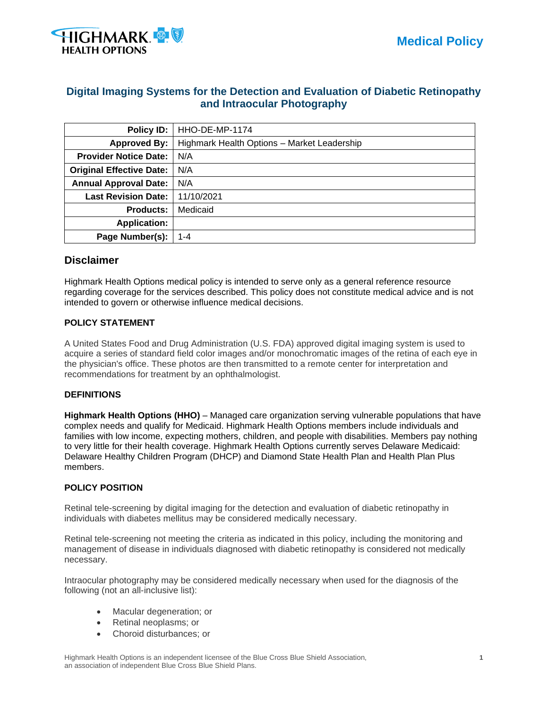

# **Digital Imaging Systems for the Detection and Evaluation of Diabetic Retinopathy and Intraocular Photography**

| <b>Policy ID:</b>               | <b>HHO-DE-MP-1174</b>                       |  |  |  |
|---------------------------------|---------------------------------------------|--|--|--|
| <b>Approved By:</b>             | Highmark Health Options - Market Leadership |  |  |  |
| <b>Provider Notice Date:</b>    | N/A                                         |  |  |  |
| <b>Original Effective Date:</b> | N/A                                         |  |  |  |
| <b>Annual Approval Date:</b>    | N/A                                         |  |  |  |
| <b>Last Revision Date:</b>      | 11/10/2021                                  |  |  |  |
| <b>Products:</b>                | Medicaid                                    |  |  |  |
| <b>Application:</b>             |                                             |  |  |  |
| Page Number(s):                 | $1 - 4$                                     |  |  |  |

# **Disclaimer**

Highmark Health Options medical policy is intended to serve only as a general reference resource regarding coverage for the services described. This policy does not constitute medical advice and is not intended to govern or otherwise influence medical decisions.

# **POLICY STATEMENT**

A United States Food and Drug Administration (U.S. FDA) approved digital imaging system is used to acquire a series of standard field color images and/or monochromatic images of the retina of each eye in the physician's office. These photos are then transmitted to a remote center for interpretation and recommendations for treatment by an ophthalmologist.

## **DEFINITIONS**

**Highmark Health Options (HHO)** – Managed care organization serving vulnerable populations that have complex needs and qualify for Medicaid. Highmark Health Options members include individuals and families with low income, expecting mothers, children, and people with disabilities. Members pay nothing to very little for their health coverage. Highmark Health Options currently serves Delaware Medicaid: Delaware Healthy Children Program (DHCP) and Diamond State Health Plan and Health Plan Plus members.

# **POLICY POSITION**

Retinal tele-screening by digital imaging for the detection and evaluation of diabetic retinopathy in individuals with diabetes mellitus may be considered medically necessary.

Retinal tele-screening not meeting the criteria as indicated in this policy, including the monitoring and management of disease in individuals diagnosed with diabetic retinopathy is considered not medically necessary.

Intraocular photography may be considered medically necessary when used for the diagnosis of the following (not an all-inclusive list):

- Macular degeneration; or
- Retinal neoplasms; or
- Choroid disturbances; or

Highmark Health Options is an independent licensee of the Blue Cross Blue Shield Association, **1** an association of independent Blue Cross Blue Shield Plans.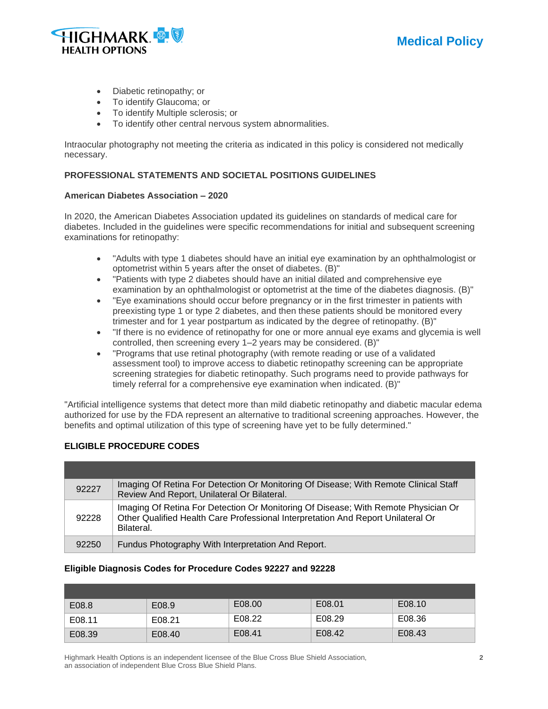

- Diabetic retinopathy; or
- To identify Glaucoma; or
- To identify Multiple sclerosis; or
- To identify other central nervous system abnormalities.

Intraocular photography not meeting the criteria as indicated in this policy is considered not medically necessary.

# **PROFESSIONAL STATEMENTS AND SOCIETAL POSITIONS GUIDELINES**

#### **American Diabetes Association – 2020**

In 2020, the American Diabetes Association updated its guidelines on standards of medical care for diabetes. Included in the guidelines were specific recommendations for initial and subsequent screening examinations for retinopathy:

- "Adults with type 1 diabetes should have an initial eye examination by an ophthalmologist or optometrist within 5 years after the onset of diabetes. (B)"
- "Patients with type 2 diabetes should have an initial dilated and comprehensive eye examination by an ophthalmologist or optometrist at the time of the diabetes diagnosis. (B)"
- "Eye examinations should occur before pregnancy or in the first trimester in patients with preexisting type 1 or type 2 diabetes, and then these patients should be monitored every trimester and for 1 year postpartum as indicated by the degree of retinopathy. (B)"
- "If there is no evidence of retinopathy for one or more annual eye exams and glycemia is well controlled, then screening every 1–2 years may be considered. (B)"
- "Programs that use retinal photography (with remote reading or use of a validated assessment tool) to improve access to diabetic retinopathy screening can be appropriate screening strategies for diabetic retinopathy. Such programs need to provide pathways for timely referral for a comprehensive eye examination when indicated. (B)"

"Artificial intelligence systems that detect more than mild diabetic retinopathy and diabetic macular edema authorized for use by the FDA represent an alternative to traditional screening approaches. However, the benefits and optimal utilization of this type of screening have yet to be fully determined."

## **ELIGIBLE PROCEDURE CODES**

| 92227 | Imaging Of Retina For Detection Or Monitoring Of Disease; With Remote Clinical Staff<br>Review And Report, Unilateral Or Bilateral.                                                  |
|-------|--------------------------------------------------------------------------------------------------------------------------------------------------------------------------------------|
| 92228 | Imaging Of Retina For Detection Or Monitoring Of Disease; With Remote Physician Or<br>Other Qualified Health Care Professional Interpretation And Report Unilateral Or<br>Bilateral. |
| 92250 | Fundus Photography With Interpretation And Report.                                                                                                                                   |

## **Eligible Diagnosis Codes for Procedure Codes 92227 and 92228**

| E08.8  | E08.9  | E08.00 | E08.01 | E08.10 |
|--------|--------|--------|--------|--------|
| E08.11 | E08.21 | E08.22 | E08.29 | E08.36 |
| E08.39 | E08.40 | E08.41 | E08.42 | E08.43 |

Highmark Health Options is an independent licensee of the Blue Cross Blue Shield Association, **2** an association of independent Blue Cross Blue Shield Plans.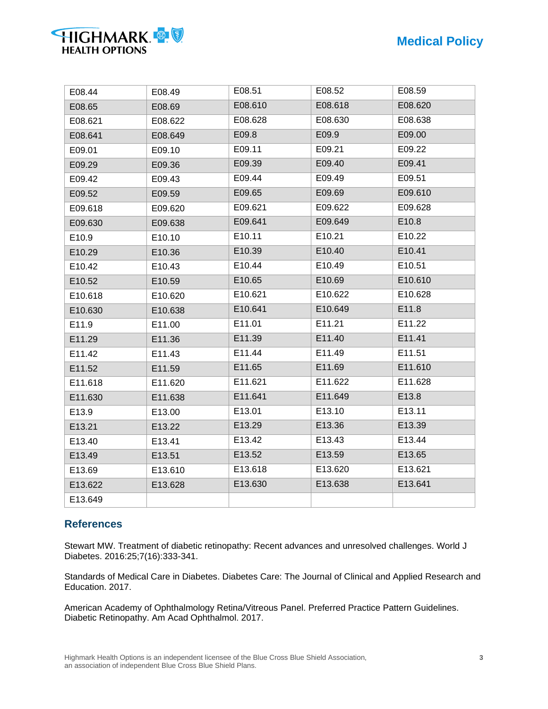# **Medical Policy**

| E08.44  | E08.49  | E08.51  | E08.52  | E08.59  |
|---------|---------|---------|---------|---------|
| E08.65  | E08.69  | E08.610 | E08.618 | E08.620 |
| E08.621 | E08.622 | E08.628 | E08.630 | E08.638 |
| E08.641 | E08.649 | E09.8   | E09.9   | E09.00  |
| E09.01  | E09.10  | E09.11  | E09.21  | E09.22  |
| E09.29  | E09.36  | E09.39  | E09.40  | E09.41  |
| E09.42  | E09.43  | E09.44  | E09.49  | E09.51  |
| E09.52  | E09.59  | E09.65  | E09.69  | E09.610 |
| E09.618 | E09.620 | E09.621 | E09.622 | E09.628 |
| E09.630 | E09.638 | E09.641 | E09.649 | E10.8   |
| E10.9   | E10.10  | E10.11  | E10.21  | E10.22  |
| E10.29  | E10.36  | E10.39  | E10.40  | E10.41  |
| E10.42  | E10.43  | E10.44  | E10.49  | E10.51  |
| E10.52  | E10.59  | E10.65  | E10.69  | E10.610 |
| E10.618 | E10.620 | E10.621 | E10.622 | E10.628 |
| E10.630 | E10.638 | E10.641 | E10.649 | E11.8   |
| E11.9   | E11.00  | E11.01  | E11.21  | E11.22  |
| E11.29  | E11.36  | E11.39  | E11.40  | E11.41  |
| E11.42  | E11.43  | E11.44  | E11.49  | E11.51  |
| E11.52  | E11.59  | E11.65  | E11.69  | E11.610 |
| E11.618 | E11.620 | E11.621 | E11.622 | E11.628 |
| E11.630 | E11.638 | E11.641 | E11.649 | E13.8   |
| E13.9   | E13.00  | E13.01  | E13.10  | E13.11  |
| E13.21  | E13.22  | E13.29  | E13.36  | E13.39  |
| E13.40  | E13.41  | E13.42  | E13.43  | E13.44  |
| E13.49  | E13.51  | E13.52  | E13.59  | E13.65  |
| E13.69  | E13.610 | E13.618 | E13.620 | E13.621 |
| E13.622 | E13.628 | E13.630 | E13.638 | E13.641 |
| E13.649 |         |         |         |         |
|         |         |         |         |         |

# **References**

**HIGHMARK** 

**HEALTH OPTIONS** 

Stewart MW. Treatment of diabetic retinopathy: Recent advances and unresolved challenges. World J Diabetes. 2016:25;7(16):333-341.

Standards of Medical Care in Diabetes. Diabetes Care: The Journal of Clinical and Applied Research and Education. 2017.

American Academy of Ophthalmology Retina/Vitreous Panel. Preferred Practice Pattern Guidelines. Diabetic Retinopathy. Am Acad Ophthalmol. 2017.